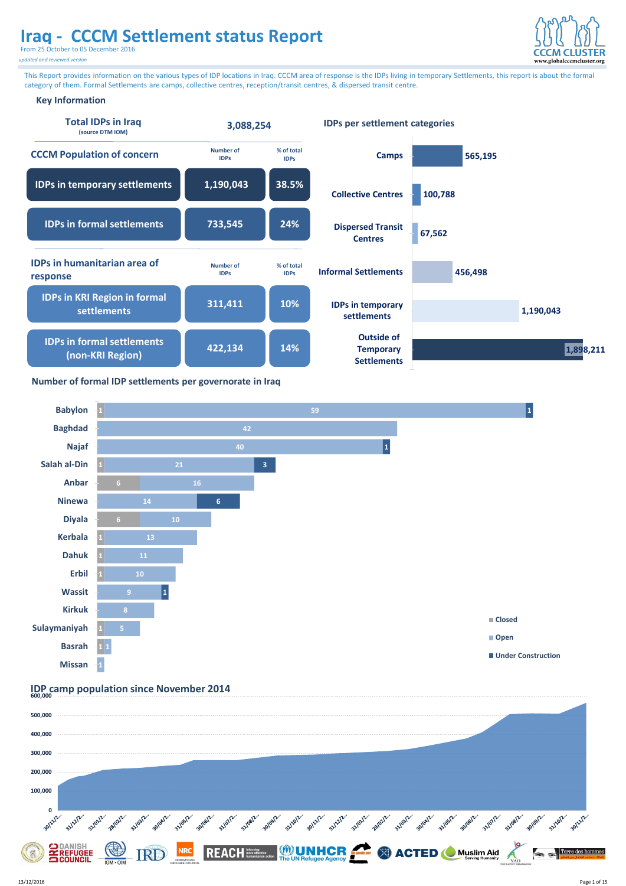From 25 October to 05 December 2016

*updated and reviewed version*



#### **Key Information**

This Report provides information on the various types of IDP locations in Iraq. CCCM area of response is the IDPs living in temporary Settlements, this report is about the formal category of them. Formal Settlements are camps, collective centres, reception/transit centres, & dispersed transit centre.

**Settlements**

| <b>Total IDPs in Iraq</b><br>(source DTM IOM)         | 3,088,254                       |                           | <b>IDPs per settlement categories</b>                       |         |           |
|-------------------------------------------------------|---------------------------------|---------------------------|-------------------------------------------------------------|---------|-----------|
| <b>CCCM Population of concern</b>                     | <b>Number of</b><br><b>IDPs</b> | % of total<br><b>IDPs</b> | <b>Camps</b>                                                | 565,195 |           |
| <b>IDPs in temporary settlements</b>                  | 1,190,043                       | 38.5%                     | <b>Collective Centres</b>                                   | 100,788 |           |
| <b>IDPs in formal settlements</b>                     | 733,545                         | 24%                       | <b>Dispersed Transit</b><br><b>Centres</b>                  | 67,562  |           |
| <b>IDPs in humanitarian area of</b><br>response       | <b>Number of</b><br><b>IDPs</b> | % of total<br><b>IDPs</b> | <b>Informal Settlements</b>                                 | 456,498 |           |
| <b>IDPs in KRI Region in formal</b><br>settlements    | 311,411                         | 10%                       | <b>IDPs in temporary</b><br>settlements                     |         | 1,190,043 |
| <b>IDPs in formal settlements</b><br>(non-KRI Region) | 422,134                         | 14%                       | <b>Outside of</b><br><b>Temporary</b><br><b>Settlements</b> |         | 1,898,211 |



**500,000**

**600,000 IDP camp population since November 2014**



#### **Number of formal IDP settlements per governorate in Iraq**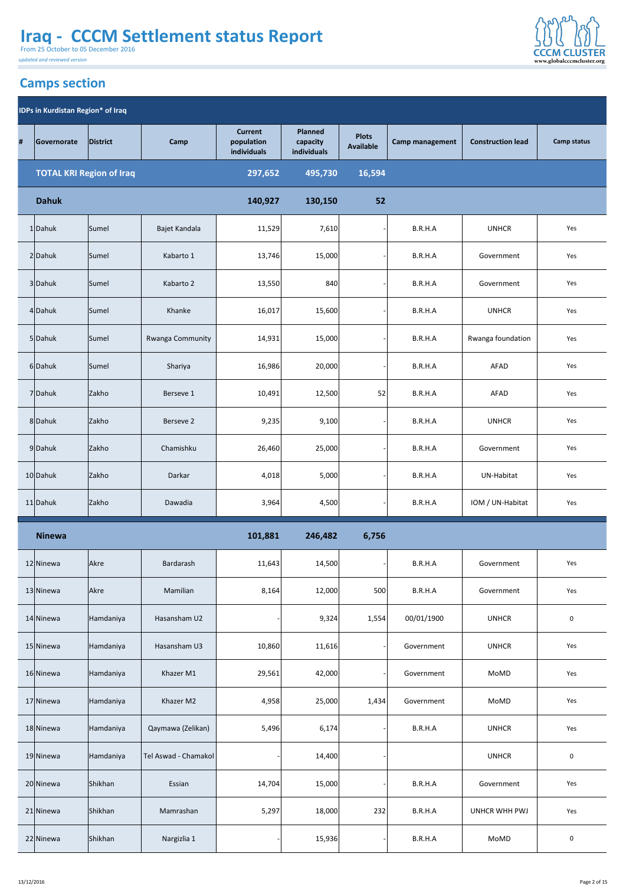From 25 October to 05 December 2016

*updated and reviewed version*

#### This Report provides information on the various types of IDP locations in Iraq. CCCM area of response is the IDPs living in temporary Settlements, this report is about the formal **Camps section**





| 6 Dahuk       | Sumel        | Shariya              | 16,986  | 20,000  |       | B.R.H.A    | <b>AFAD</b>          | Yes              |
|---------------|--------------|----------------------|---------|---------|-------|------------|----------------------|------------------|
| 7 Dahuk       | Zakho        | Berseve 1            | 10,491  | 12,500  | 52    | B.R.H.A    | <b>AFAD</b>          | Yes              |
| 8 Dahuk       | Zakho        | Berseve 2            | 9,235   | 9,100   |       | B.R.H.A    | <b>UNHCR</b>         | Yes              |
| 9Dahuk        | Zakho        | Chamishku            | 26,460  | 25,000  |       | B.R.H.A    | Government           | Yes              |
| 10 Dahuk      | Zakho        | Darkar               | 4,018   | 5,000   |       | B.R.H.A    | UN-Habitat           | Yes              |
| $11$  Dahuk   | <b>Zakho</b> | Dawadia              | 3,964   | 4,500   |       | B.R.H.A    | IOM / UN-Habitat     | Yes              |
| <b>Ninewa</b> |              |                      | 101,881 | 246,482 | 6,756 |            |                      |                  |
| 12 Ninewa     | <b>Akre</b>  | Bardarash            | 11,643  | 14,500  |       | B.R.H.A    | Government           | Yes              |
| 13 Ninewa     | <b>Akre</b>  | Mamilian             | 8,164   | 12,000  | 500   | B.R.H.A    | Government           | Yes              |
| 14 Ninewa     | Hamdaniya    | Hasansham U2         |         | 9,324   | 1,554 | 00/01/1900 | <b>UNHCR</b>         | $\boldsymbol{0}$ |
|               |              |                      |         |         |       |            |                      |                  |
| 15 Ninewa     | Hamdaniya    | Hasansham U3         | 10,860  | 11,616  |       | Government | <b>UNHCR</b>         | Yes              |
| 16 Ninewa     | Hamdaniya    | Khazer M1            | 29,561  | 42,000  |       | Government | <b>MoMD</b>          | Yes              |
| 17 Ninewa     | Hamdaniya    | Khazer M2            | 4,958   | 25,000  | 1,434 | Government | <b>MoMD</b>          | Yes              |
| 18 Ninewa     | Hamdaniya    | Qaymawa (Zelikan)    | 5,496   | 6,174   |       | B.R.H.A    | <b>UNHCR</b>         | Yes              |
| 19 Ninewa     | Hamdaniya    | Tel Aswad - Chamakol |         | 14,400  |       |            | <b>UNHCR</b>         | $\mathbf 0$      |
| 20 Ninewa     | Shikhan      | Essian               | 14,704  | 15,000  |       | B.R.H.A    | Government           | Yes              |
| 21 Ninewa     | Shikhan      | Mamrashan            | 5,297   | 18,000  | 232   | B.R.H.A    | <b>UNHCR WHH PWJ</b> | Yes              |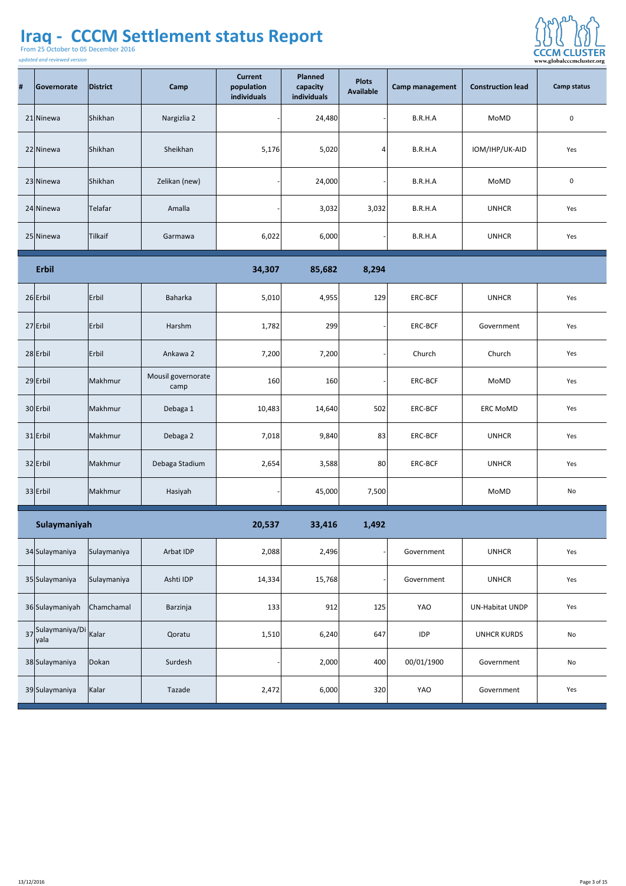From 25 October to 05 December 2016



| # | Governorate                | District                   | Camp                       | <b>Current</b><br>population<br>individuals | <b>Planned</b><br>capacity<br><b>individuals</b> | <b>Plots</b><br><b>Available</b> | <b>Camp management</b> | <b>Construction lead</b> | <b>Camp status</b> |
|---|----------------------------|----------------------------|----------------------------|---------------------------------------------|--------------------------------------------------|----------------------------------|------------------------|--------------------------|--------------------|
|   | 21 Ninewa                  | Shikhan                    | Nargizlia 2                |                                             | 24,480                                           |                                  | B.R.H.A                | MoMD                     | $\mathbf 0$        |
|   | 22 Ninewa                  | Shikhan                    | Sheikhan                   | 5,176                                       | 5,020                                            |                                  | B.R.H.A                | IOM/IHP/UK-AID           | Yes                |
|   | 23 Ninewa                  | Shikhan                    | Zelikan (new)              |                                             | 24,000                                           |                                  | B.R.H.A                | <b>MoMD</b>              | $\overline{0}$     |
|   | $24$ Ninewa                | Telafar                    | Amalla                     |                                             | 3,032                                            | 3,032                            | B.R.H.A                | <b>UNHCR</b>             | Yes                |
|   | 25 Ninewa                  | Tilkaif                    | Garmawa                    | 6,022                                       | 6,000                                            |                                  | B.R.H.A                | <b>UNHCR</b>             | Yes                |
|   | Erbil                      |                            |                            | 34,307                                      | 85,682                                           | 8,294                            |                        |                          |                    |
|   | $26$ Erbil                 | Erbil                      | Baharka                    | 5,010                                       | 4,955                                            | 129                              | ERC-BCF                | <b>UNHCR</b>             | Yes                |
|   | $27$ Erbil                 | Erbil                      | Harshm                     | 1,782                                       | 299                                              |                                  | ERC-BCF                | Government               | Yes                |
|   | $28$ Erbil                 | Erbil                      | Ankawa 2                   | 7,200                                       | 7,200                                            |                                  | Church                 | Church                   | Yes                |
|   | $29$ Erbil                 | Makhmur                    | Mousil governorate<br>camp | 160                                         | 160                                              |                                  | <b>ERC-BCF</b>         | MoMD                     | Yes                |
|   | 30 Erbil                   | Makhmur                    | Debaga 1                   | 10,483                                      | 14,640                                           | 502                              | <b>ERC-BCF</b>         | <b>ERC MoMD</b>          | Yes                |
|   | $31$  Erbil                | Makhmur                    | Debaga 2                   | 7,018                                       | 9,840                                            | 83                               | ERC-BCF                | <b>UNHCR</b>             | Yes                |
|   | $32$ Erbil                 | Makhmur                    | Debaga Stadium             | 2,654                                       | 3,588                                            | 80                               | ERC-BCF                | <b>UNHCR</b>             | Yes                |
|   | $33$ Erbil                 | Makhmur                    | Hasiyah                    |                                             | 45,000                                           | 7,500                            |                        | MoMD                     | No                 |
|   | Sulaymaniyah               |                            |                            | 20,537                                      | 33,416                                           | 1,492                            |                        |                          |                    |
|   | 34 Sulaymaniya             | Sulaymaniya                | Arbat IDP                  | 2,088                                       | 2,496                                            |                                  | Government             | <b>UNHCR</b>             | Yes                |
|   | 35 Sulaymaniya             | Sulaymaniya                | Ashti IDP                  | 14,334                                      | 15,768                                           |                                  | Government             | <b>UNHCR</b>             | Yes                |
|   |                            | 36 Sulaymaniyah Chamchamal | Barzinja                   | 133                                         | 912                                              | 125                              | YAO                    | UN-Habitat UNDP          | Yes                |
|   | 37 Sulaymaniya/Di<br> yala | Kalar                      | Qoratu                     | 1,510                                       | 6,240                                            | 647                              | <b>IDP</b>             | <b>UNHCR KURDS</b>       | No                 |
|   | 38 Sulaymaniya             | Dokan                      | Surdesh                    |                                             | 2,000                                            | 400                              | 00/01/1900             | Government               | <b>No</b>          |
|   | 39 Sulaymaniya             | Kalar                      | Tazade                     | 2,472                                       | 6,000                                            | 320                              | YAO                    | Government               | Yes                |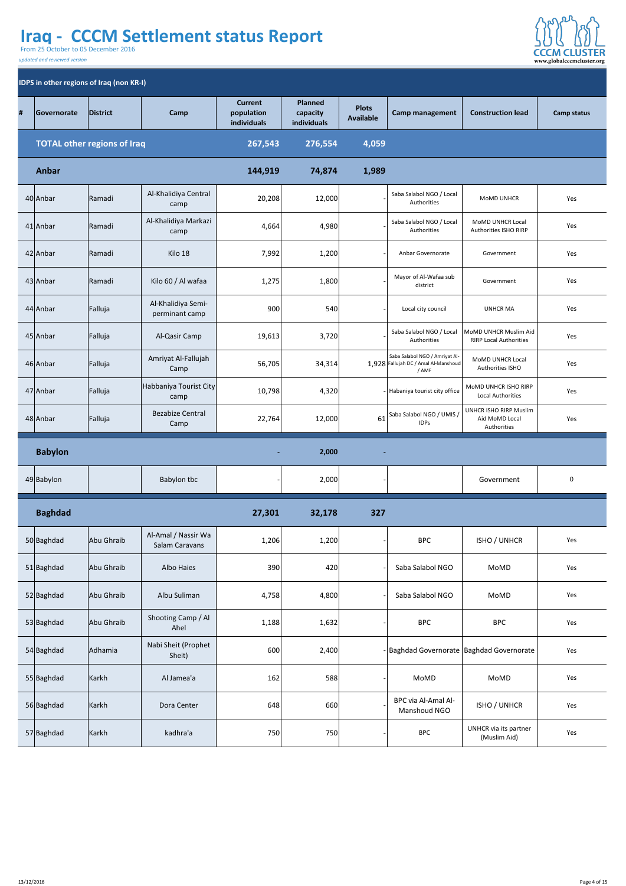From 25 October to 05 December 2016



|   | <b>IDPS in other regions of Iraq (non KR-I)</b> |                                    |                                              |                                             |                                           |                                  |                                                                                 |                                                                |                    |  |  |  |
|---|-------------------------------------------------|------------------------------------|----------------------------------------------|---------------------------------------------|-------------------------------------------|----------------------------------|---------------------------------------------------------------------------------|----------------------------------------------------------------|--------------------|--|--|--|
| # | <b>Governorate</b>                              | District                           | Camp                                         | <b>Current</b><br>population<br>individuals | <b>Planned</b><br>capacity<br>individuals | <b>Plots</b><br><b>Available</b> | <b>Camp management</b>                                                          | <b>Construction lead</b>                                       | <b>Camp status</b> |  |  |  |
|   |                                                 | <b>TOTAL other regions of Iraq</b> |                                              | 267,543                                     | 276,554                                   | 4,059                            |                                                                                 |                                                                |                    |  |  |  |
|   | Anbar                                           |                                    |                                              | 144,919                                     | 74,874                                    | 1,989                            |                                                                                 |                                                                |                    |  |  |  |
|   | 40 Anbar                                        | Ramadi                             | Al-Khalidiya Central<br>camp                 | 20,208                                      | 12,000                                    |                                  | Saba Salabol NGO / Local<br>Authorities                                         | <b>MOMD UNHCR</b>                                              | Yes                |  |  |  |
|   | 41 Anbar                                        | Ramadi                             | Al-Khalidiya Markazi<br>camp                 | 4,664                                       | 4,980                                     |                                  | Saba Salabol NGO / Local<br>Authorities                                         | <b>MOMD UNHCR Local</b><br><b>Authorities ISHO RIRP</b>        | Yes                |  |  |  |
|   | $42$ Anbar                                      | Ramadi                             | Kilo 18                                      | 7,992                                       | 1,200                                     |                                  | <b>Anbar Governorate</b>                                                        | Government                                                     | Yes                |  |  |  |
|   | 43 Anbar                                        | Ramadi                             | Kilo 60 / Al wafaa                           | 1,275                                       | 1,800                                     |                                  | Mayor of Al-Wafaa sub<br>district                                               | Government                                                     | Yes                |  |  |  |
|   | 44 Anbar                                        | Falluja                            | Al-Khalidiya Semi-<br>perminant camp         | 900                                         | 540                                       |                                  | Local city council                                                              | <b>UNHCR MA</b>                                                | Yes                |  |  |  |
|   | 45 Anbar                                        | Falluja                            | Al-Qasir Camp                                | 19,613                                      | 3,720                                     |                                  | Saba Salabol NGO / Local<br>Authorities                                         | MoMD UNHCR Muslim Aid<br><b>RIRP Local Authorities</b>         | Yes                |  |  |  |
|   | 46 Anbar                                        | Falluja                            | Amriyat Al-Fallujah<br>Camp                  | 56,705                                      | 34,314                                    |                                  | Saba Salabol NGO / Amriyat Al-<br>1,928 Fallujah DC / Amal Al-Manshoud<br>/ AMF | <b>MOMD UNHCR Local</b><br><b>Authorities ISHO</b>             | Yes                |  |  |  |
|   | 47 Anbar                                        | Falluja                            | Habbaniya Tourist City<br>camp               | 10,798                                      | 4,320                                     |                                  | Habaniya tourist city office                                                    | MOMD UNHCR ISHO RIRP<br><b>Local Authorities</b>               | Yes                |  |  |  |
|   | 48 Anbar                                        | Falluja                            | <b>Bezabize Central</b><br>Camp              | 22,764                                      | 12,000                                    | 61                               | Saba Salabol NGO / UMIS /<br><b>IDPS</b>                                        | <b>UNHCR ISHO RIRP Muslim</b><br>Aid MoMD Local<br>Authorities | Yes                |  |  |  |
|   | <b>Babylon</b>                                  |                                    |                                              | $\blacksquare$                              | 2,000                                     | $\blacksquare$                   |                                                                                 |                                                                |                    |  |  |  |
|   | 49 Babylon                                      |                                    | <b>Babylon tbc</b>                           |                                             | 2,000                                     |                                  |                                                                                 | Government                                                     | $\overline{0}$     |  |  |  |
|   | <b>Baghdad</b>                                  |                                    |                                              | 27,301                                      | 32,178                                    | 327                              |                                                                                 |                                                                |                    |  |  |  |
|   | 50 Baghdad                                      | Abu Ghraib                         | Al-Amal / Nassir Wa<br><b>Salam Caravans</b> | 1,206                                       | 1,200                                     |                                  | <b>BPC</b>                                                                      | <b>ISHO / UNHCR</b>                                            | Yes                |  |  |  |
|   | 51 Baghdad                                      | Abu Ghraib                         | <b>Albo Haies</b>                            | 390                                         | 420                                       |                                  | Saba Salabol NGO                                                                | <b>MoMD</b>                                                    | Yes                |  |  |  |
|   | 52 Baghdad                                      | Abu Ghraib                         | Albu Suliman                                 | 4,758                                       | 4,800                                     |                                  | Saba Salabol NGO                                                                | <b>MoMD</b>                                                    | Yes                |  |  |  |
|   | 53 Baghdad                                      | Abu Ghraib                         | Shooting Camp / Al<br>Ahel                   | 1,188                                       | 1,632                                     |                                  | <b>BPC</b>                                                                      | <b>BPC</b>                                                     | Yes                |  |  |  |
|   | 54 Baghdad                                      | Adhamia                            | Nabi Sheit (Prophet<br>Sheit)                | 600                                         | 2,400                                     |                                  |                                                                                 | Baghdad Governorate   Baghdad Governorate                      | Yes                |  |  |  |
|   | 55 Baghdad                                      | Karkh                              | Al Jamea'a                                   | 162                                         | 588                                       |                                  | <b>MoMD</b>                                                                     | <b>MoMD</b>                                                    | Yes                |  |  |  |
|   | 56 Baghdad                                      | Karkh                              | Dora Center                                  | 648                                         | 660                                       |                                  | <b>BPC via Al-Amal Al-</b><br>Manshoud NGO                                      | <b>ISHO / UNHCR</b>                                            | Yes                |  |  |  |

|  | 57 Baghdad | Karkh | kadhra'a | 750 | 7501<br>7 JU 1 |  | <b>BPC</b> | UNHCR via its partner<br>(Muslim Aid) | Yes |
|--|------------|-------|----------|-----|----------------|--|------------|---------------------------------------|-----|
|--|------------|-------|----------|-----|----------------|--|------------|---------------------------------------|-----|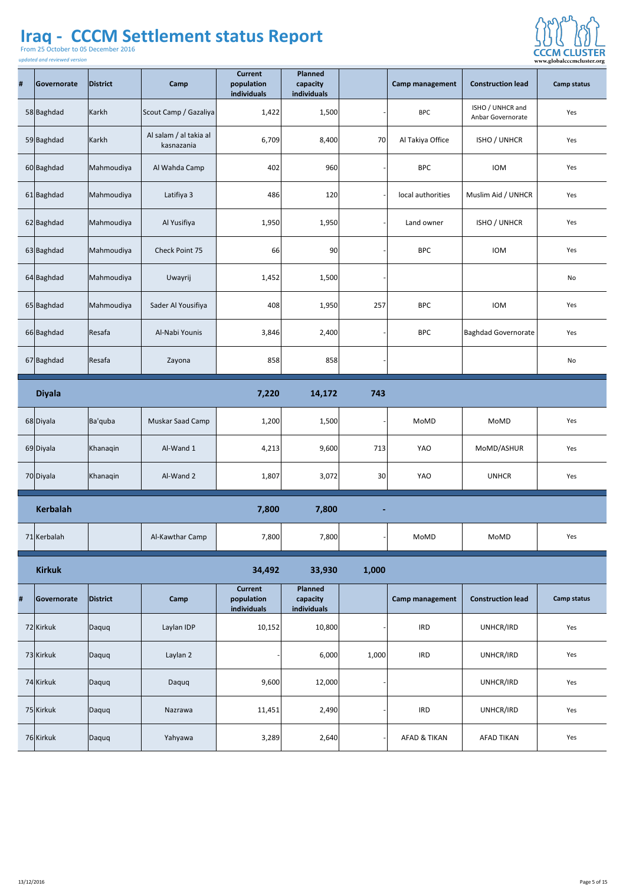From 25 October to 05 December 2016

*updated and reviewed version*

**College** 



| #        | Governorate     | District   | Camp                                 | <b>Current</b><br>population<br>individuals | <b>Planned</b><br>capacity<br><b>individuals</b> |                 | <b>Camp management</b> | <b>Construction lead</b>                     | <b>Camp status</b> |
|----------|-----------------|------------|--------------------------------------|---------------------------------------------|--------------------------------------------------|-----------------|------------------------|----------------------------------------------|--------------------|
|          | 58 Baghdad      | Karkh      | Scout Camp / Gazaliya                | 1,422                                       | 1,500                                            |                 | <b>BPC</b>             | ISHO / UNHCR and<br><b>Anbar Governorate</b> | Yes                |
|          | 59 Baghdad      | Karkh      | Al salam / al takia al<br>kasnazania | 6,709                                       | 8,400                                            | 70              | Al Takiya Office       | ISHO / UNHCR                                 | Yes                |
|          | 60 Baghdad      | Mahmoudiya | Al Wahda Camp                        | 402                                         | 960                                              |                 | <b>BPC</b>             | <b>IOM</b>                                   | Yes                |
|          | 61 Baghdad      | Mahmoudiya | Latifiya 3                           | 486                                         | 120                                              |                 | local authorities      | Muslim Aid / UNHCR                           | Yes                |
|          | 62 Baghdad      | Mahmoudiya | Al Yusifiya                          | 1,950                                       | 1,950                                            |                 | Land owner             | <b>ISHO / UNHCR</b>                          | Yes                |
|          | $63$ Baghdad    | Mahmoudiya | <b>Check Point 75</b>                | <b>66</b>                                   | 90 <sub>l</sub>                                  |                 | <b>BPC</b>             | <b>IOM</b>                                   | Yes                |
|          | $64$ Baghdad    | Mahmoudiya | Uwayrij                              | 1,452                                       | 1,500                                            |                 |                        |                                              | <b>No</b>          |
|          | 65 Baghdad      | Mahmoudiya | Sader Al Yousifiya                   | 408                                         | 1,950                                            | 257             | <b>BPC</b>             | <b>IOM</b>                                   | Yes                |
|          | 66 Baghdad      | Resafa     | Al-Nabi Younis                       | 3,846                                       | 2,400                                            |                 | <b>BPC</b>             | Baghdad Governorate                          | Yes                |
|          | 67 Baghdad      | Resafa     | Zayona                               | 858                                         | 858                                              |                 |                        |                                              | No                 |
|          | <b>Diyala</b>   |            |                                      | 7,220                                       | 14,172                                           | 743             |                        |                                              |                    |
|          | 68 Diyala       | Ba'quba    | <b>Muskar Saad Camp</b>              | 1,200                                       | 1,500                                            |                 | <b>MoMD</b>            | <b>MoMD</b>                                  | Yes                |
|          | 69 Diyala       | Khanaqin   | Al-Wand 1                            | 4,213                                       | 9,600                                            | 713             | <b>YAO</b>             | MoMD/ASHUR                                   | Yes                |
|          | 70 Diyala       | Khanaqin   | Al-Wand 2                            | 1,807                                       | 3,072                                            | 30 <sup>2</sup> | YAO                    | <b>UNHCR</b>                                 | Yes                |
|          | <b>Kerbalah</b> |            |                                      | 7,800                                       | 7,800                                            | $\blacksquare$  |                        |                                              |                    |
|          | 71 Kerbalah     |            | Al-Kawthar Camp                      | 7,800                                       | 7,800                                            |                 | <b>MoMD</b>            | <b>MoMD</b>                                  | Yes                |
|          | <b>Kirkuk</b>   |            |                                      | 34,492                                      | 33,930                                           | 1,000           |                        |                                              |                    |
| $\sharp$ | Governorate     | District   | <b>Camp</b>                          | <b>Current</b><br>population<br>individuals | <b>Planned</b><br>capacity<br>individuals        |                 | <b>Camp management</b> | <b>Construction lead</b>                     | <b>Camp status</b> |
|          | 72 Kirkuk       | Daquq      | Laylan IDP                           | 10,152                                      | 10,800                                           |                 | <b>IRD</b>             | UNHCR/IRD                                    | Yes                |
|          | 73 Kirkuk       | Daquq      | Laylan 2                             |                                             | 6,000                                            | 1,000           | <b>IRD</b>             | UNHCR/IRD                                    | Yes                |
|          | 74 Kirkuk       | Daquq      | Daquq                                | 9,600                                       | 12,000                                           |                 |                        | UNHCR/IRD                                    | Yes                |
|          | 75 Kirkuk       | Daquq      | Nazrawa                              | 11,451                                      | 2,490                                            |                 | <b>IRD</b>             | UNHCR/IRD                                    | Yes                |

| 76 Kirkuk | Daquq | Yahyawa | 3,289 | 2,640 | <b>AFAD &amp; TIKAN</b> | <b>AFAD TIKAN</b> | Yes |
|-----------|-------|---------|-------|-------|-------------------------|-------------------|-----|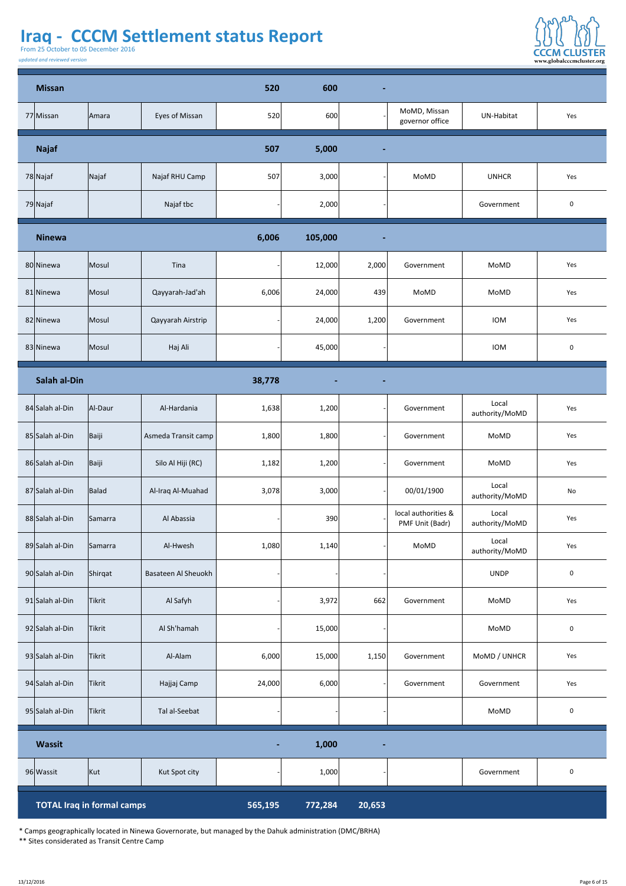From 25 October to 05 December 2016

*updated and reviewed version*



| <b>Missan</b>       |                                   |                            | 520     | 600            | $\blacksquare$ |                                               |                         |                |
|---------------------|-----------------------------------|----------------------------|---------|----------------|----------------|-----------------------------------------------|-------------------------|----------------|
| 77 Missan           | Amara                             | <b>Eyes of Missan</b>      | 520     | 600            |                | MoMD, Missan<br>governor office               | <b>UN-Habitat</b>       | Yes            |
| <b>Najaf</b>        |                                   |                            | 507     | 5,000          | $\sim$         |                                               |                         |                |
| 78 Najaf            | Najaf                             | Najaf RHU Camp             | 507     | 3,000          |                | MoMD                                          | <b>UNHCR</b>            | Yes            |
| 79 Najaf            |                                   | Najaf tbc                  |         | 2,000          |                |                                               | Government              | $\overline{0}$ |
| <b>Ninewa</b>       |                                   |                            | 6,006   | 105,000        | $\blacksquare$ |                                               |                         |                |
| 80 Ninewa           | Mosul                             | Tina                       |         | 12,000         | 2,000          | Government                                    | MoMD                    | Yes            |
| 81 Ninewa           | Mosul                             | Qayyarah-Jad'ah            | 6,006   | 24,000         | 439            | MoMD                                          | MoMD                    | Yes            |
| 82 Ninewa           | Mosul                             | <b>Qayyarah Airstrip</b>   |         | 24,000         | 1,200          | Government                                    | <b>IOM</b>              | Yes            |
| 83 Ninewa           | Mosul                             | Haj Ali                    |         | 45,000         |                |                                               | <b>IOM</b>              | $\overline{0}$ |
| <b>Salah al-Din</b> |                                   |                            | 38,778  | $\blacksquare$ | $\blacksquare$ |                                               |                         |                |
| 84 Salah al-Din     | Al-Daur                           | Al-Hardania                | 1,638   | 1,200          |                | Government                                    | Local<br>authority/MoMD | Yes            |
| 85 Salah al-Din     | Baiji                             | Asmeda Transit camp        | 1,800   | 1,800          |                | Government                                    | <b>MoMD</b>             | Yes            |
| 86 Salah al-Din     | Baiji                             | Silo Al Hiji (RC)          | 1,182   | 1,200          |                | Government                                    | MoMD                    | Yes            |
| 87 Salah al-Din     | Balad                             | Al-Iraq Al-Muahad          | 3,078   | 3,000          |                | 00/01/1900                                    | Local<br>authority/MoMD | <b>No</b>      |
| 88 Salah al-Din     | Samarra                           | Al Abassia                 |         | 390            |                | local authorities &<br><b>PMF Unit (Badr)</b> | Local<br>authority/MoMD | Yes            |
| 89 Salah al-Din     | Samarra                           | Al-Hwesh                   | 1,080   | 1,140          |                | MoMD                                          | Local<br>authority/MoMD | Yes            |
| 90 Salah al-Din     | Shirqat                           | <b>Basateen Al Sheuokh</b> |         |                |                |                                               | <b>UNDP</b>             | $\overline{0}$ |
| 91 Salah al-Din     | <b>Tikrit</b>                     | Al Safyh                   |         | 3,972          | 662            | Government                                    | <b>MoMD</b>             | Yes            |
| 92 Salah al-Din     | Tikrit                            | Al Sh'hamah                |         | 15,000         |                |                                               | MoMD                    | $\overline{0}$ |
| 93 Salah al-Din     | <b>Tikrit</b>                     | Al-Alam                    | 6,000   | 15,000         | 1,150          | Government                                    | MoMD / UNHCR            | Yes            |
| 94 Salah al-Din     | Tikrit                            | Hajjaj Camp                | 24,000  | 6,000          |                | Government                                    | Government              | Yes            |
| 95 Salah al-Din     | Tikrit                            | Tal al-Seebat              |         |                |                |                                               | MoMD                    | $\overline{0}$ |
| Wassit              |                                   |                            | $\sim$  | 1,000          | $\blacksquare$ |                                               |                         |                |
| 96 Wassit           | Kut                               | Kut Spot city              |         | 1,000          |                |                                               | Government              | $\overline{0}$ |
|                     | <b>TOTAL Iraq in formal camps</b> |                            | 565,195 | 772,284        | 20,653         |                                               |                         |                |

\* Camps geographically located in Ninewa Governorate, but managed by the Dahuk administration (DMC/BRHA) \*\* Sites considerated as Transit Centre Camp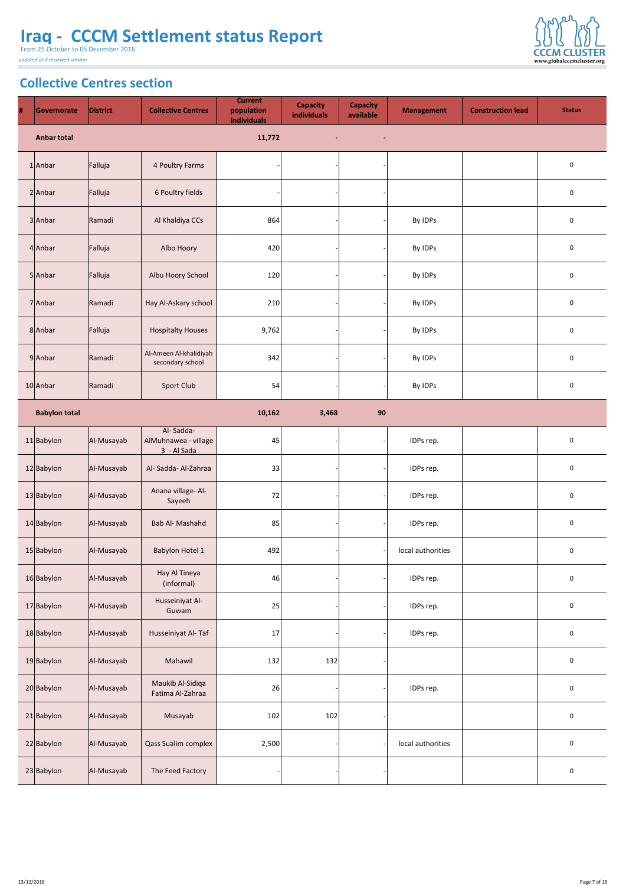From 25 October to 05 December 2016

*updated and reviewed version*



#### This Report provides information on the various types of IDP locations in Iraq. CCCM are a of  $\mathcal{L}$ **Collective Centres section**

| $\#$ | Governorate          | <b>District</b> | <b>Collective Centres</b>                        | <b>Current</b><br>population<br>individuals | <b>Capacity</b><br>individuals | <b>Capacity</b><br>available | <b>Management</b> | <b>Construction lead</b> | <b>Status</b>    |
|------|----------------------|-----------------|--------------------------------------------------|---------------------------------------------|--------------------------------|------------------------------|-------------------|--------------------------|------------------|
|      | <b>Anbar total</b>   |                 |                                                  | 11,772                                      | $\blacksquare$                 | $\blacksquare$               |                   |                          |                  |
|      | $1$  Anbar           | Falluja         | 4 Poultry Farms                                  |                                             |                                |                              |                   |                          | $\boldsymbol{0}$ |
|      | $2$ Anbar            | Falluja         | 6 Poultry fields                                 |                                             |                                |                              |                   |                          | $\overline{0}$   |
|      | $3$ Anbar            | Ramadi          | Al Khaldiya CCs                                  | 864                                         |                                |                              | By IDPs           |                          | $\mathbf 0$      |
|      | $4$ Anbar            | Falluja         | Albo Hoory                                       | 420                                         |                                |                              | By IDPs           |                          | $\mathbf 0$      |
|      | $5$ Anbar            | Falluja         | Albu Hoory School                                | 120                                         |                                |                              | By IDPs           |                          | $\overline{0}$   |
|      | 7 Anbar              | <b>Ramadi</b>   | Hay Al-Askary school                             | 210                                         |                                |                              | By IDPs           |                          | $\boldsymbol{0}$ |
|      | 8 Anbar              | Falluja         | <b>Hospitalty Houses</b>                         | 9,762                                       |                                |                              | By IDPs           |                          | $\boldsymbol{0}$ |
|      | $9$ Anbar            | Ramadi          | Al-Ameen Al-khalidiyah<br>secondary school       | 342                                         |                                |                              | By IDPs           |                          | $\mathbf 0$      |
|      | $10$  Anbar          | Ramadi          | <b>Sport Club</b>                                | 54                                          |                                |                              | By IDPs           |                          | $\mathbf 0$      |
|      | <b>Babylon total</b> |                 |                                                  | 10,162                                      | 3,468                          | 90                           |                   |                          |                  |
|      | $11$  Babylon        | Al-Musayab      | Al-Sadda-<br>AlMuhnawea - village<br>3 - Al Sada | 45                                          |                                |                              | IDPs rep.         |                          | $\bf{0}$         |
|      | 12 Babylon           | Al-Musayab      | Al-Sadda-Al-Zahraa                               | 33                                          |                                |                              | IDPs rep.         |                          | $\overline{0}$   |
|      | 13 Babylon           | Al-Musayab      | Anana village- Al-<br>Sayeeh                     | 72                                          |                                |                              | IDPs rep.         |                          | $\bf{0}$         |
|      | $14$ Babylon         | Al-Musayab      | <b>Bab Al- Mashahd</b>                           | 85                                          |                                |                              | IDPs rep.         |                          | $\mathbf 0$      |
|      | 15 Babylon           | Al-Musayab      | <b>Babylon Hotel 1</b>                           | 492                                         |                                |                              | local authorities |                          | $\mathbf 0$      |
|      | 16 Babylon           | Al-Musayab      | Hay Al Tineya<br>(informal)                      | 46                                          |                                |                              | IDPs rep.         |                          | $\mathbf 0$      |
|      | 17 Babylon           | Al-Musayab      | Husseiniyat Al-<br>Guwam                         | 25                                          |                                |                              | IDPs rep.         |                          | $\overline{0}$   |
|      | 18 Babylon           | Al-Musayab      | Husseiniyat Al-Taf                               | 17                                          |                                |                              | IDPs rep.         |                          | $\overline{0}$   |
|      | 19 Babylon           | Al-Musayab      | Mahawil                                          | 132                                         | 132                            |                              |                   |                          | $\bf{0}$         |
|      | 20 Babylon           | Al-Musayab      | Maukib Al-Sidiqa<br>Fatima Al-Zahraa             | 26                                          |                                |                              | IDPs rep.         |                          | $\overline{0}$   |
|      | $21$ Babylon         | Al-Musayab      | Musayab                                          | 102                                         | 102                            |                              |                   |                          | $\boldsymbol{0}$ |
|      | 22 Babylon           | Al-Musayab      | <b>Qass Sualim complex</b>                       | 2,500                                       |                                |                              | local authorities |                          | $\overline{0}$   |
|      | 23 Babylon           | Al-Musayab      | The Feed Factory                                 |                                             |                                |                              |                   |                          | $\overline{0}$   |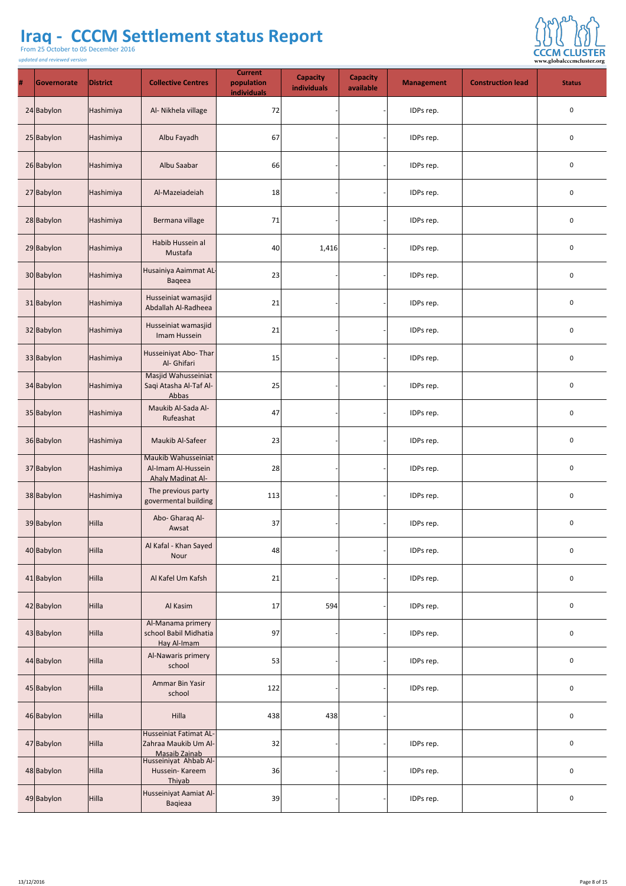From 25 October to 05 December 2016

*updated and reviewed version*

 $\sim$ 



| # | Governorate   | <b>District</b> | <b>Collective Centres</b>                                             | <b>Current</b><br>population<br>individuals | <b>Capacity</b><br>individuals | <b>Capacity</b><br>available | <b>Management</b> | <b>Construction lead</b> | <b>Status</b>    |
|---|---------------|-----------------|-----------------------------------------------------------------------|---------------------------------------------|--------------------------------|------------------------------|-------------------|--------------------------|------------------|
|   | 24 Babylon    | Hashimiya       | Al- Nikhela village                                                   | 72                                          |                                |                              | IDPs rep.         |                          | $\boldsymbol{0}$ |
|   | 25 Babylon    | Hashimiya       | Albu Fayadh                                                           | 67                                          |                                |                              | IDPs rep.         |                          | $\boldsymbol{0}$ |
|   | 26 Babylon    | Hashimiya       | Albu Saabar                                                           | 66                                          |                                |                              | IDPs rep.         |                          | $\boldsymbol{0}$ |
|   | 27 Babylon    | Hashimiya       | Al-Mazeiadeiah                                                        | 18                                          |                                |                              | IDPs rep.         |                          | $\mathbf 0$      |
|   | 28 Babylon    | Hashimiya       | Bermana village                                                       | 71                                          |                                |                              | IDPs rep.         |                          | $\mathbf 0$      |
|   | 29 Babylon    | Hashimiya       | Habib Hussein al<br>Mustafa                                           | 40                                          | 1,416                          |                              | IDPs rep.         |                          | $\overline{0}$   |
|   | 30 Babylon    | Hashimiya       | Husainiya Aaimmat AL-<br>Baqeea                                       | 23                                          |                                |                              | IDPs rep.         |                          | $\mathbf{0}$     |
|   | 31 Babylon    | Hashimiya       | Husseiniat wamasjid<br>Abdallah Al-Radheea                            | 21                                          |                                |                              | IDPs rep.         |                          | U                |
|   | 32 Babylon    | Hashimiya       | Husseiniat wamasjid<br>Imam Hussein                                   | 21                                          |                                |                              | IDPs rep.         |                          | $\boldsymbol{0}$ |
|   | 33 Babylon    | Hashimiya       | Husseiniyat Abo-Thar<br>Al- Ghifari                                   | 15                                          |                                |                              | IDPs rep.         |                          | $\mathbf 0$      |
|   | 34 Babylon    | Hashimiya       | Masjid Wahusseiniat<br>Saqi Atasha Al-Taf Al-<br>Abbas                | 25                                          |                                |                              | IDPs rep.         |                          | $\boldsymbol{0}$ |
|   | 35 Babylon    | Hashimiya       | Maukib Al-Sada Al-<br>Rufeashat                                       | 47                                          |                                |                              | IDPs rep.         |                          | $\boldsymbol{0}$ |
|   | 36 Babylon    | Hashimiya       | <b>Maukib Al-Safeer</b>                                               | 23                                          |                                |                              | IDPs rep.         |                          | $\boldsymbol{0}$ |
|   | 37 Babylon    | Hashimiya       | Maukib Wahusseiniat<br>Al-Imam Al-Hussein<br><b>Ahaly Madinat Al-</b> | 28                                          |                                |                              | IDPs rep.         |                          | U                |
|   | 38 Babylon    | Hashimiya       | The previous party<br>govermental building                            | 113                                         |                                |                              | IDPs rep.         |                          | $\mathbf 0$      |
|   | 39 Babylon    | Hilla           | Abo- Gharaq Al-<br>Awsat                                              | 37                                          |                                |                              | IDPs rep.         |                          | $\boldsymbol{0}$ |
|   | 40 Babylon    | Hilla           | Al Kafal - Khan Sayed<br>Nour                                         | 48                                          |                                |                              | IDPs rep.         |                          | $\mathbf{0}$     |
|   | $41$  Babylon | Hilla           | Al Kafel Um Kafsh                                                     | 21                                          |                                |                              | IDPs rep.         |                          | $\mathbf 0$      |
|   | 42 Babylon    | Hilla           | Al Kasim                                                              | 17                                          | 594                            |                              | IDPs rep.         |                          | $\mathbf 0$      |
|   | 43 Babylon    | Hilla           | Al-Manama primery<br>school Babil Midhatia<br>Hay Al-Imam             | 97                                          |                                |                              | IDPs rep.         |                          | 0                |
|   | 44 Babylon    | Hilla           | Al-Nawaris primery<br>school                                          | 53                                          |                                |                              | IDPs rep.         |                          | $\mathbf 0$      |
|   | 45 Babylon    | Hilla           | <b>Ammar Bin Yasir</b><br>school                                      | 122                                         |                                |                              | IDPs rep.         |                          | $\boldsymbol{0}$ |
|   | 46 Babylon    | Hilla           | <b>Hilla</b>                                                          | 438                                         | 438                            |                              |                   |                          | $\mathbf{0}$     |
|   | 47 Babylon    | Hilla           | Husseiniat Fatimat AL-<br>Zahraa Maukib Um Al-<br>Masaib Zainab       | 32                                          |                                |                              | IDPs rep.         |                          |                  |
|   | 48 Babylon    | Hilla           | Husseiniyat Ahbab Al-<br>Hussein-Kareem<br>Thiyab                     | 36                                          |                                |                              | IDPs rep.         |                          | $\mathbf{0}$     |
|   | 49 Babylon    | Hilla           | Husseiniyat Aamiat Al-<br><b>Baqieaa</b>                              | 39                                          |                                |                              | IDPs rep.         |                          | $\boldsymbol{0}$ |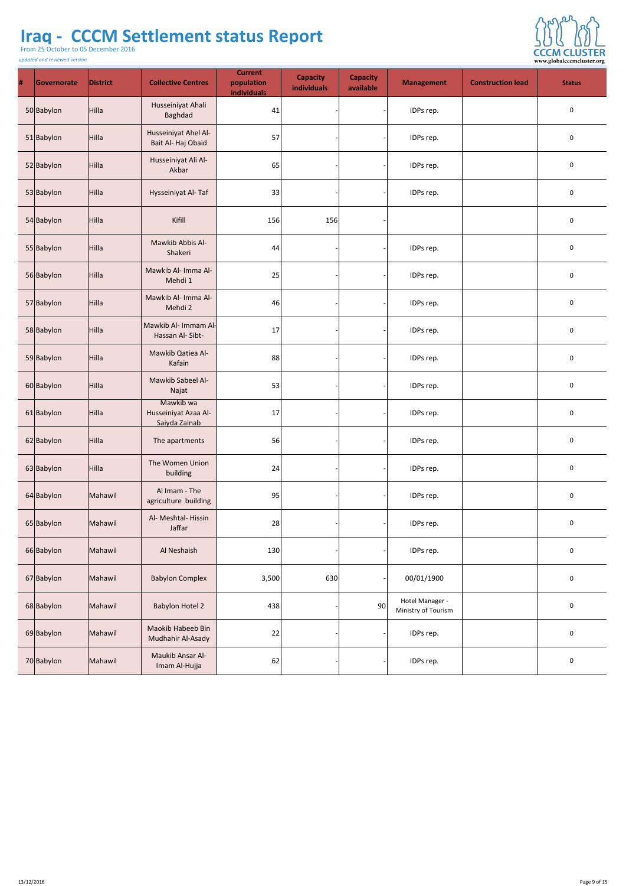From 25 October to 05 December 2016

*updated and reviewed version*

 $\sim$ 



| $\#$ | Governorate | <b>District</b> | <b>Collective Centres</b>                          | <b>Current</b><br>population<br>individuals | <b>Capacity</b><br>individuals | <b>Capacity</b><br>available | Management                             | <b>Construction lead</b> | <b>Status</b>    |
|------|-------------|-----------------|----------------------------------------------------|---------------------------------------------|--------------------------------|------------------------------|----------------------------------------|--------------------------|------------------|
|      | 50 Babylon  | Hilla           | Husseiniyat Ahali<br><b>Baghdad</b>                | 41                                          |                                |                              | IDPs rep.                              |                          | $\bf{0}$         |
|      | 51 Babylon  | Hilla           | Husseiniyat Ahel Al-<br>Bait Al-Haj Obaid          | 57                                          |                                |                              | IDPs rep.                              |                          | $\bf{0}$         |
|      | 52 Babylon  | Hilla           | Husseiniyat Ali Al-<br>Akbar                       | 65                                          |                                |                              | IDPs rep.                              |                          | $\mathbf 0$      |
|      | 53 Babylon  | Hilla           | Hysseiniyat Al-Taf                                 | 33                                          |                                |                              | IDPs rep.                              |                          | $\mathbf 0$      |
|      | 54 Babylon  | Hilla           | Kifill                                             | 156                                         | 156                            |                              |                                        |                          | $\bf{0}$         |
|      | 55 Babylon  | Hilla           | Mawkib Abbis Al-<br>Shakeri                        | 44                                          |                                |                              | IDPs rep.                              |                          | $\overline{0}$   |
|      | 56 Babylon  | Hilla           | Mawkib Al- Imma Al-<br>Mehdi 1                     | 25                                          |                                |                              | IDPs rep.                              |                          | $\bf{0}$         |
|      | 57 Babylon  | Hilla           | Mawkib Al- Imma Al-<br>Mehdi 2                     | 46                                          |                                |                              | IDPs rep.                              |                          | $\mathbf{0}$     |
|      | 58 Babylon  | Hilla           | Mawkib Al- Immam Al-<br>Hassan Al-Sibt-            | 17                                          |                                |                              | IDPs rep.                              |                          | $\mathbf 0$      |
|      | 59 Babylon  | Hilla           | Mawkib Qatiea Al-<br>Kafain                        | 88                                          |                                |                              | IDPs rep.                              |                          | $\bf{0}$         |
|      | 60 Babylon  | Hilla           | Mawkib Sabeel Al-<br>Najat                         | 53                                          |                                |                              | IDPs rep.                              |                          | $\bf{0}$         |
|      | 61 Babylon  | Hilla           | Mawkib wa<br>Husseiniyat Azaa Al-<br>Saiyda Zainab | 17                                          |                                |                              | IDPs rep.                              |                          | $\mathbf{0}$     |
|      | 62 Babylon  | Hilla           | The apartments                                     | 56                                          |                                |                              | IDPs rep.                              |                          | $\mathbf 0$      |
|      | 63 Babylon  | Hilla           | The Women Union<br>building                        | 24                                          |                                |                              | IDPs rep.                              |                          | $\mathbf 0$      |
|      | 64 Babylon  | Mahawil         | Al Imam - The<br>agriculture building              | 95                                          |                                |                              | IDPs rep.                              |                          | $\mathbf 0$      |
|      | 65 Babylon  | Mahawil         | Al- Meshtal-Hissin<br>Jaffar                       | 28                                          |                                |                              | IDPs rep.                              |                          | $\bf{0}$         |
|      | 66 Babylon  | Mahawil         | Al Neshaish                                        | 130                                         |                                |                              | IDPs rep.                              |                          | $\bf{0}$         |
|      | 67 Babylon  | Mahawil         | <b>Babylon Complex</b>                             | 3,500                                       | 630                            |                              | 00/01/1900                             |                          | $\mathbf 0$      |
|      | 68 Babylon  | Mahawil         | <b>Babylon Hotel 2</b>                             | 438                                         |                                | 90                           | Hotel Manager -<br>Ministry of Tourism |                          | $\mathbf 0$      |
|      | 69 Babylon  | Mahawil         | <b>Maokib Habeeb Bin</b><br>Mudhahir Al-Asady      | 22                                          |                                |                              | IDPs rep.                              |                          | $\boldsymbol{0}$ |
|      | 70 Babylon  | Mahawil         | Maukib Ansar Al-<br>Imam Al-Hujja                  | 62                                          |                                |                              | IDPs rep.                              |                          | $\bf{0}$         |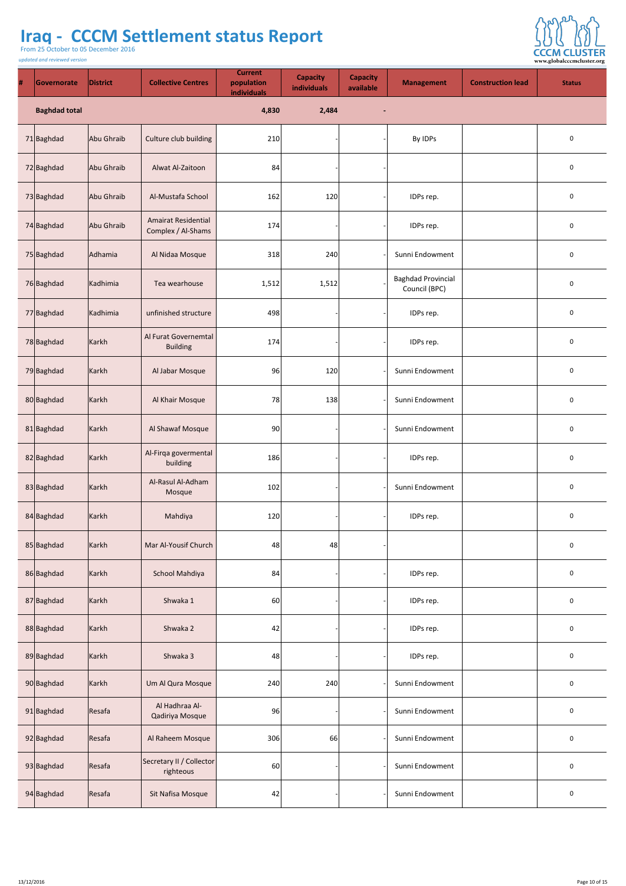From 25 October to 05 December 2016



| # | Governorate          | <b>District</b> | <b>Collective Centres</b>                        | <b>Current</b><br>population<br>individuals | <b>Capacity</b><br><b>individuals</b> | <b>Capacity</b><br>available | <b>Management</b>                                 | <b>Construction lead</b> | <b>Status</b>  |
|---|----------------------|-----------------|--------------------------------------------------|---------------------------------------------|---------------------------------------|------------------------------|---------------------------------------------------|--------------------------|----------------|
|   | <b>Baghdad total</b> |                 |                                                  | 4,830                                       | 2,484                                 | $\blacksquare$               |                                                   |                          |                |
|   | 71 Baghdad           | Abu Ghraib      | Culture club building                            | 210                                         |                                       |                              | By IDPs                                           |                          | $\overline{0}$ |
|   | 72 Baghdad           | Abu Ghraib      | <b>Alwat Al-Zaitoon</b>                          | 84                                          |                                       |                              |                                                   |                          | $\overline{0}$ |
|   | 73 Baghdad           | Abu Ghraib      | Al-Mustafa School                                | 162                                         | 120                                   |                              | IDPs rep.                                         |                          | $\overline{0}$ |
|   | 74 Baghdad           | Abu Ghraib      | <b>Amairat Residential</b><br>Complex / Al-Shams | 174                                         |                                       |                              | IDPs rep.                                         |                          | $\mathbf 0$    |
|   | 75 Baghdad           | Adhamia         | Al Nidaa Mosque                                  | 318                                         | 240                                   |                              | Sunni Endowment                                   |                          | $\overline{0}$ |
|   | 76 Baghdad           | Kadhimia        | Tea wearhouse                                    | 1,512                                       | 1,512                                 |                              | <b>Baghdad Provincial</b><br><b>Council (BPC)</b> |                          | $\overline{0}$ |
|   | 77 Baghdad           | Kadhimia        | unfinished structure                             | 498                                         |                                       |                              | IDPs rep.                                         |                          | $\overline{0}$ |
|   | 78 Baghdad           | Karkh           | Al Furat Governemtal<br><b>Building</b>          | 174                                         |                                       |                              | IDPs rep.                                         |                          | $\overline{0}$ |

| 79 Baghdad | Karkh          | Al Jabar Mosque                       | 96  | 120 | Sunni Endowment | $\mathbf 0$    |
|------------|----------------|---------------------------------------|-----|-----|-----------------|----------------|
| 80 Baghdad | $\kappa$ Karkh | Al Khair Mosque                       | 78  | 138 | Sunni Endowment | $\mathbf 0$    |
| 81 Baghdad | Karkh          | Al Shawaf Mosque                      | 90  |     | Sunni Endowment | $\mathbf 0$    |
| 82 Baghdad | Karkh          | Al-Firqa govermental<br>building      | 186 |     | IDPs rep.       | $\mathbf 0$    |
| 83 Baghdad | Karkh          | Al-Rasul Al-Adham<br>Mosque           | 102 |     | Sunni Endowment | $\mathbf 0$    |
| 84 Baghdad | Karkh          | Mahdiya                               | 120 |     | IDPs rep.       | $\mathbf 0$    |
| 85 Baghdad | Karkh          | Mar Al-Yousif Church                  | 48  | 48  |                 | $\mathbf 0$    |
| 86 Baghdad | $\kappa$ Karkh | <b>School Mahdiya</b>                 | 84  |     | IDPs rep.       | $\mathbf 0$    |
| 87 Baghdad | Karkh          | Shwaka 1                              | 60  |     | IDPs rep.       | $\mathbf 0$    |
| 88 Baghdad | Karkh          | Shwaka 2                              | 42  |     | IDPs rep.       | $\mathbf 0$    |
| 89 Baghdad | Karkh          | Shwaka 3                              | 48  |     | IDPs rep.       | $\mathbf 0$    |
| 90 Baghdad | Karkh          | Um Al Qura Mosque                     | 240 | 240 | Sunni Endowment | $\mathbf 0$    |
| 91 Baghdad | Resafa         | Al Hadhraa Al-<br>Qadiriya Mosque     | 96  |     | Sunni Endowment | $\mathbf 0$    |
| 92 Baghdad | Resafa         | Al Raheem Mosque                      | 306 | 66  | Sunni Endowment | $\mathbf 0$    |
| 93 Baghdad | Resafa         | Secretary II / Collector<br>righteous | 60  |     | Sunni Endowment | $\mathbf 0$    |
| 94 Baghdad | Resafa         | Sit Nafisa Mosque                     | 42  |     | Sunni Endowment | $\overline{0}$ |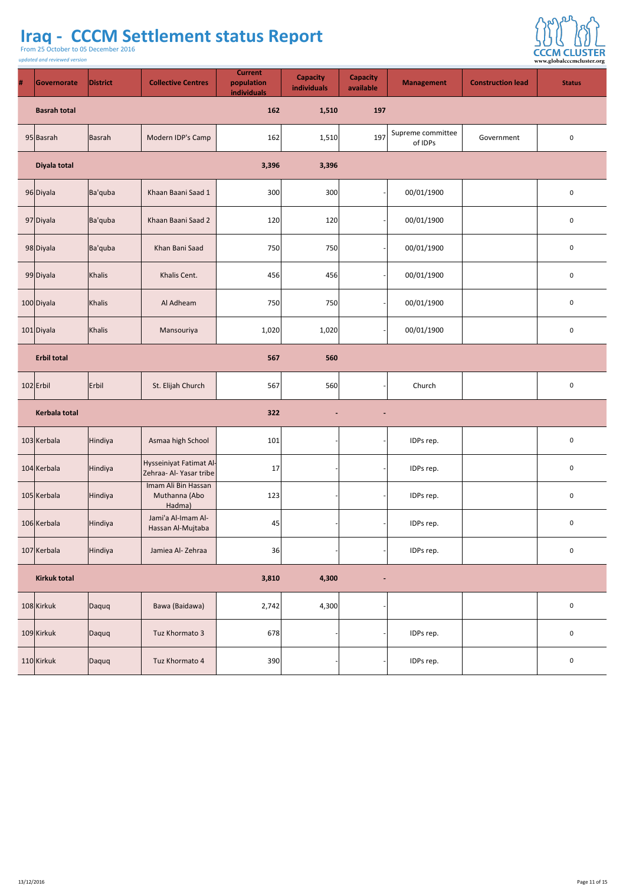From 25 October to 05 December 2016



| # | Governorate         | <b>District</b> | <b>Collective Centres</b> | <b>Current</b><br>population<br>individuals | <b>Capacity</b><br>individuals | <b>Capacity</b><br>available | <b>Management</b>            | <b>Construction lead</b> | <b>Status</b>  |
|---|---------------------|-----------------|---------------------------|---------------------------------------------|--------------------------------|------------------------------|------------------------------|--------------------------|----------------|
|   | <b>Basrah total</b> |                 |                           | 162                                         | 1,510                          | 197                          |                              |                          |                |
|   | $95$ Basrah         | Basrah          | Modern IDP's Camp         | 162                                         | 1,510                          | 197                          | Supreme committee<br>of IDPs | Government               | $\mathbf 0$    |
|   | Diyala total        |                 |                           | 3,396                                       | 3,396                          |                              |                              |                          |                |
|   | 96 Diyala           | Ba'quba         | Khaan Baani Saad 1        | 300                                         | 300                            |                              | 00/01/1900                   |                          | $\mathbf 0$    |
|   | 97 Diyala           | Ba'quba         | Khaan Baani Saad 2        | 120                                         | 120                            |                              | 00/01/1900                   |                          | $\mathbf 0$    |
|   | 98 Diyala           | Ba'quba         | Khan Bani Saad            | 750                                         | 750                            |                              | 00/01/1900                   |                          | $\overline{0}$ |
|   | 99 Diyala           | Khalis          | Khalis Cent.              | 456                                         | 456                            |                              | 00/01/1900                   |                          | $\mathbf 0$    |
|   | 100 Diyala          | Khalis          | Al Adheam                 | 750                                         | 750                            |                              | 00/01/1900                   |                          | $\mathbf 0$    |
|   | 101 Diyala          | Khalis          | Mansouriya                | 1,020                                       | 1,020                          |                              | 00/01/1900                   |                          | $\mathbf 0$    |

| <b>Erbil total</b>   |           |                                                    | 567   | 560            |                |           |                |
|----------------------|-----------|----------------------------------------------------|-------|----------------|----------------|-----------|----------------|
| $102$ Erbil          | $ F$ rbil | St. Elijah Church                                  | 567   | 560            |                | Church    | $\mathbf 0$    |
| <b>Kerbala total</b> |           |                                                    | 322   | $\blacksquare$ | $\sim$         |           |                |
| 103 Kerbala          | Hindiya   | Asmaa high School                                  | 101   |                |                | IDPs rep. | $\mathbf 0$    |
| 104 Kerbala          | Hindiya   | Hysseiniyat Fatimat Al-<br>Zehraa- Al- Yasar tribe | 17    |                |                | IDPs rep. | $\mathbf 0$    |
| 105 Kerbala          | Hindiya   | Imam Ali Bin Hassan<br>Muthanna (Abo<br>Hadma)     | 123   |                |                | IDPs rep. | $\mathbf 0$    |
| 106 Kerbala          | Hindiya   | Jami'a Al-Imam Al-<br>Hassan Al-Mujtaba            | 45    |                |                | IDPs rep. | $\mathbf 0$    |
| 107 Kerbala          | Hindiya   | Jamiea Al-Zehraa                                   | 36    |                |                | IDPs rep. | $\mathbf 0$    |
| <b>Kirkuk total</b>  |           |                                                    | 3,810 | 4,300          | $\blacksquare$ |           |                |
| 108 Kirkuk           | Daquq     | Bawa (Baidawa)                                     | 2,742 | 4,300          |                |           | $\mathbf 0$    |
| 109 Kirkuk           | Daquq     | Tuz Khormato 3                                     | 678   |                |                | IDPs rep. | $\overline{0}$ |
| $110$ Kirkuk         | Daquq     | Tuz Khormato 4                                     | 390   |                |                | IDPs rep. | $\mathbf 0$    |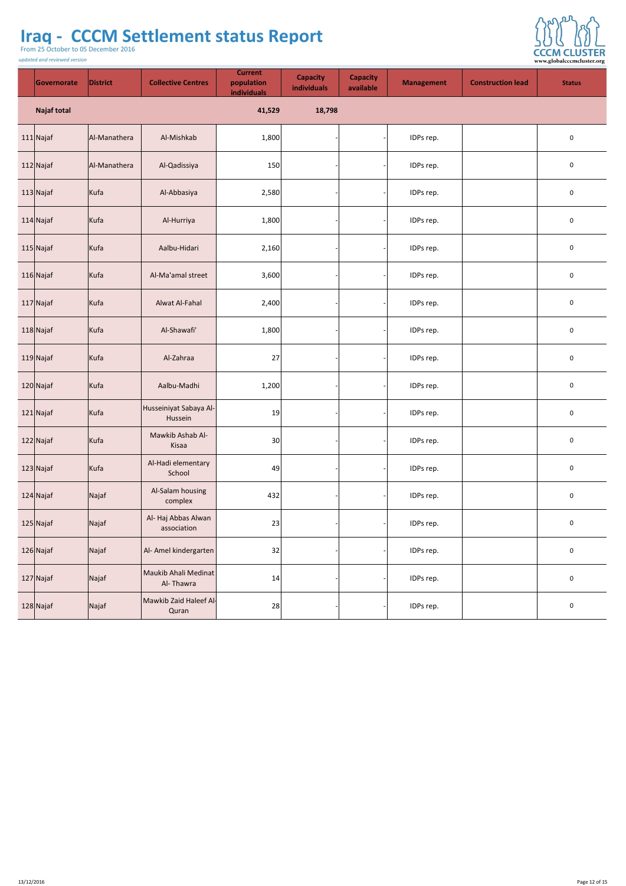From 25 October to 05 December 2016

*updated and reviewed version*



| Governorate        | <b>District</b> | <b>Collective Centres</b>          | <b>Current</b><br>population<br>individuals | <b>Capacity</b><br>individuals | <b>Capacity</b><br>available | <b>Management</b> | <b>Construction lead</b> | <b>Status</b>  |
|--------------------|-----------------|------------------------------------|---------------------------------------------|--------------------------------|------------------------------|-------------------|--------------------------|----------------|
| <b>Najaf total</b> |                 |                                    | 41,529                                      | 18,798                         |                              |                   |                          |                |
| $111$ Najaf        | Al-Manathera    | Al-Mishkab                         | 1,800                                       |                                |                              | IDPs rep.         |                          | $\mathbf 0$    |
| $112$ Najaf        | Al-Manathera    | Al-Qadissiya                       | 150                                         |                                |                              | IDPs rep.         |                          | $\mathbf 0$    |
| $113$ Najaf        | Kufa            | Al-Abbasiya                        | 2,580                                       |                                |                              | IDPs rep.         |                          | $\overline{0}$ |
| $114$ Najaf        | Kufa            | Al-Hurriya                         | 1,800                                       |                                |                              | IDPs rep.         |                          | $\mathbf 0$    |
| $115$ Najaf        | Kufa            | Aalbu-Hidari                       | 2,160                                       |                                |                              | IDPs rep.         |                          | $\overline{0}$ |
| $116$ Najaf        | Kufa            | Al-Ma'amal street                  | 3,600                                       |                                |                              | IDPs rep.         |                          | $\mathbf 0$    |
| $117$ Najaf        | Kufa            | <b>Alwat Al-Fahal</b>              | 2,400                                       |                                |                              | IDPs rep.         |                          | $\overline{0}$ |
| $118$ Najaf        | Kufa            | Al-Shawafi'                        | 1,800                                       |                                |                              | IDPs rep.         |                          | $\mathbf 0$    |
| $119$ Najaf        | Kufa            | Al-Zahraa                          | 27                                          |                                |                              | IDPs rep.         |                          | $\mathbf 0$    |
| $120$ Najaf        | Kufa            | Aalbu-Madhi                        | 1,200                                       |                                |                              | IDPs rep.         |                          | $\mathbf 0$    |
| $121$ Najaf        | Kufa            | Husseiniyat Sabaya Al-<br>Hussein  | 19                                          |                                |                              | IDPs rep.         |                          | $\mathbf 0$    |
| $122$ Najaf        | Kufa            | Mawkib Ashab Al-<br>Kisaa          | 30 <sup>2</sup>                             |                                |                              | IDPs rep.         |                          | $\mathbf 0$    |
| $123$ Najaf        | Kufa            | Al-Hadi elementary<br>School       | 49                                          |                                |                              | IDPs rep.         |                          | $\overline{0}$ |
| $124$ Najaf        | Najaf           | Al-Salam housing<br>complex        | 432                                         |                                |                              | IDPs rep.         |                          | $\overline{0}$ |
| $125$ Najaf        | Najaf           | Al- Haj Abbas Alwan<br>association | 23                                          |                                |                              | IDPs rep.         |                          | $\mathbf 0$    |
| $126$ Najaf        | Najaf           | Al- Amel kindergarten              | 32                                          |                                |                              | IDPs rep.         |                          | $\mathbf 0$    |
| 127 Najaf          | Najaf           | Maukib Ahali Medinat<br>Al-Thawra  | 14                                          |                                |                              | IDPs rep.         |                          | $\overline{0}$ |
| 128 Najaf          | Najaf           | Mawkib Zaid Haleef Al-<br>Quran    | 28                                          |                                |                              | IDPs rep.         |                          | $\overline{0}$ |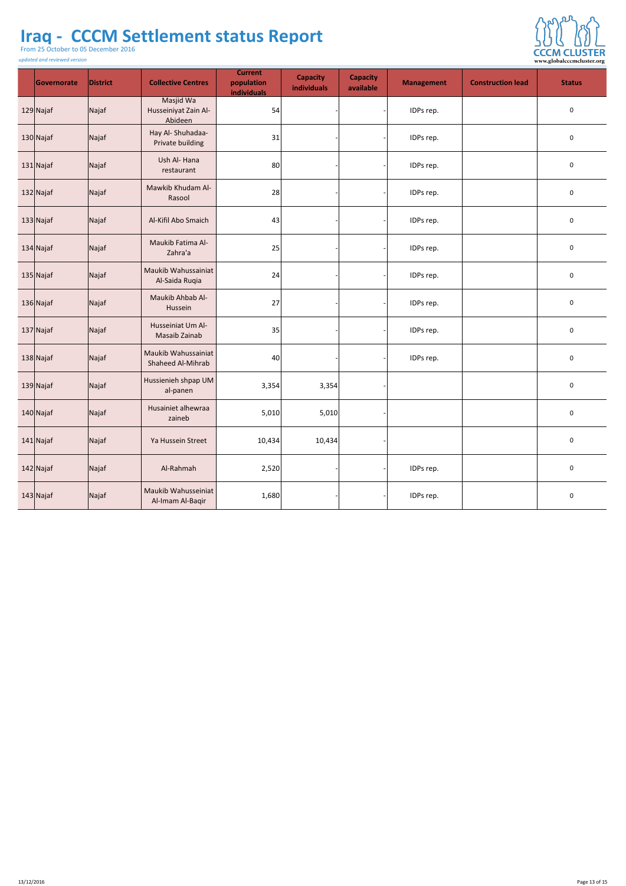From 25 October to 05 December 2016

*updated and reviewed version*

 $\sim$ 



| Governorate | <b>District</b>         | <b>Collective Centres</b>                       | <b>Current</b><br>population<br>individuals | <b>Capacity</b><br>individuals | <b>Capacity</b><br>available | <b>Management</b> | <b>Construction lead</b> | <b>Status</b>    |
|-------------|-------------------------|-------------------------------------------------|---------------------------------------------|--------------------------------|------------------------------|-------------------|--------------------------|------------------|
| $129$ Najaf | Najaf                   | Masjid Wa<br>Husseiniyat Zain Al-<br>Abideen    | 54                                          |                                |                              | IDPs rep.         |                          | $\mathbf 0$      |
| $130$ Najaf | Najaf                   | Hay Al-Shuhadaa-<br><b>Private building</b>     | 31                                          |                                |                              | IDPs rep.         |                          | $\mathbf 0$      |
| 131 Najaf   | Najaf                   | Ush Al-Hana<br>restaurant                       | 80                                          |                                |                              | IDPs rep.         |                          | $\mathbf 0$      |
| $132$ Najaf | Najaf                   | Mawkib Khudam Al-<br>Rasool                     | 28                                          |                                |                              | IDPs rep.         |                          | $\mathbf 0$      |
| $133$ Najaf | Najaf                   | Al-Kifil Abo Smaich                             | 43                                          |                                |                              | IDPs rep.         |                          | $\boldsymbol{0}$ |
| $134$ Najaf | $\sqrt{\mathsf{Najaf}}$ | Maukib Fatima Al-<br>Zahra'a                    | 25                                          |                                |                              | IDPs rep.         |                          | $\overline{0}$   |
| $135$ Najaf | Najaf                   | Maukib Wahussainiat<br>Al-Saida Ruqia           | 24                                          |                                |                              | IDPs rep.         |                          | $\bf{0}$         |
| $136$ Najaf | Najaf                   | Maukib Ahbab Al-<br>Hussein                     | 27                                          |                                |                              | IDPs rep.         |                          | $\bf{0}$         |
| $137$ Najaf | Najaf                   | Husseiniat Um Al-<br>Masaib Zainab              | 35                                          |                                |                              | IDPs rep.         |                          | $\overline{0}$   |
| $138$ Najaf | Najaf                   | Maukib Wahussainiat<br><b>Shaheed Al-Mihrab</b> | 40                                          |                                |                              | IDPs rep.         |                          | $\mathbf 0$      |
| $139$ Najaf | Najaf                   | Hussienieh shpap UM<br>al-panen                 | 3,354                                       | 3,354                          |                              |                   |                          | $\mathbf 0$      |
| $140$ Najaf | Najaf                   | Husainiet alhewraa<br>zaineb                    | 5,010                                       | 5,010                          |                              |                   |                          | $\mathbf 0$      |
| $141$ Najaf | Najaf                   | Ya Hussein Street                               | 10,434                                      | 10,434                         |                              |                   |                          | $\mathbf 0$      |
| $142$ Najaf | Najaf                   | Al-Rahmah                                       | 2,520                                       |                                |                              | IDPs rep.         |                          | $\mathbf 0$      |
| $143$ Najaf | Najaf                   | Maukib Wahusseiniat<br>Al-Imam Al-Baqir         | 1,680                                       |                                |                              | IDPs rep.         |                          | $\boldsymbol{0}$ |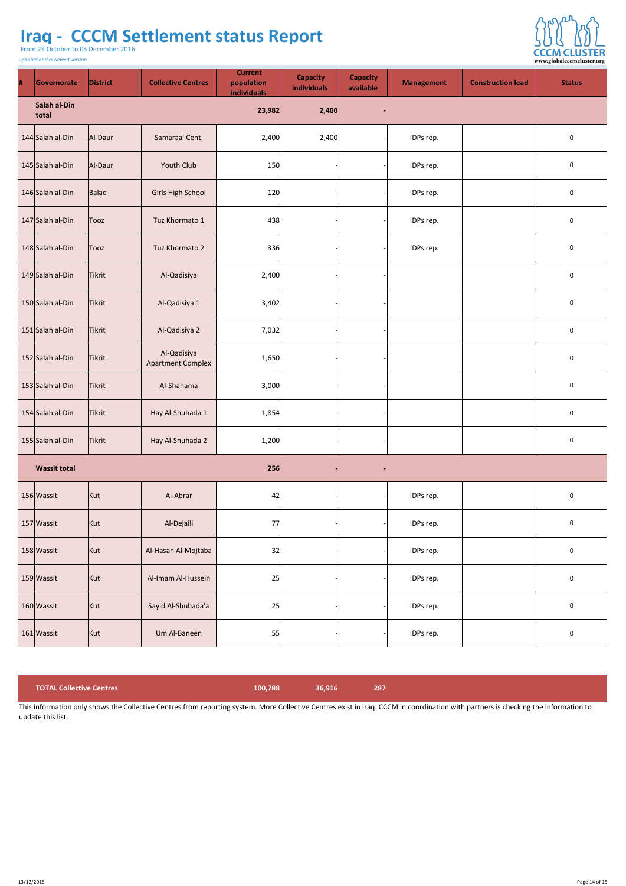From 25 October to 05 December 2016

*updated and reviewed version*



| # | Governorate             | <b>District</b> | <b>Collective Centres</b>               | <b>Current</b><br>population<br>individuals | <b>Capacity</b><br>individuals | <b>Capacity</b><br>available | <b>Management</b> | <b>Construction lead</b> | <b>Status</b>           |
|---|-------------------------|-----------------|-----------------------------------------|---------------------------------------------|--------------------------------|------------------------------|-------------------|--------------------------|-------------------------|
|   | Salah al-Din<br>total   |                 |                                         | 23,982                                      | 2,400                          | $\blacksquare$               |                   |                          |                         |
|   | $144$ Salah al-Din      | Al-Daur         | Samaraa' Cent.                          | 2,400                                       | 2,400                          |                              | IDPs rep.         |                          | $\bf{0}$                |
|   | 145 Salah al-Din        | Al-Daur         | <b>Youth Club</b>                       | 150                                         |                                |                              | IDPs rep.         |                          | $\overline{0}$          |
|   | 146 Salah al-Din        | Balad           | <b>Girls High School</b>                | 120                                         |                                |                              | IDPs rep.         |                          | $\overline{0}$          |
|   | 147 Salah al-Din        | Tooz            | Tuz Khormato 1                          | 438                                         |                                |                              | IDPs rep.         |                          | $\mathbf 0$             |
|   | 148 Salah al-Din   Tooz |                 | Tuz Khormato 2                          | 336                                         |                                |                              | IDPs rep.         |                          | $\overline{0}$          |
|   | 149 Salah al-Din        | Tikrit          | Al-Qadisiya                             | 2,400                                       |                                |                              |                   |                          | $\mathbf 0$             |
|   | 150 Salah al-Din        | Tikrit          | Al-Qadisiya 1                           | 3,402                                       |                                |                              |                   |                          | $\mathbf 0$             |
|   | $151$ Salah al-Din      | <b>Tikrit</b>   | Al-Qadisiya 2                           | 7,032                                       |                                |                              |                   |                          | $\mathbf 0$             |
|   | 152 Salah al-Din        | <b>Tikrit</b>   | Al-Qadisiya<br><b>Apartment Complex</b> | 1,650                                       |                                |                              |                   |                          | $\overline{0}$          |
|   | $153$ Salah al-Din      | <b>Tikrit</b>   | Al-Shahama                              | 3,000                                       |                                |                              |                   |                          | $\mathbf 0$             |
|   | 154 Salah al-Din        | Tikrit          | Hay Al-Shuhada 1                        | 1,854                                       |                                |                              |                   |                          | $\bf{0}$                |
|   | 155 Salah al-Din        | <b>Tikrit</b>   | Hay Al-Shuhada 2                        | 1,200                                       |                                |                              |                   |                          | $\mathbf 0$             |
|   | <b>Wassit total</b>     |                 |                                         | 256                                         | $\blacksquare$                 | $\sim$                       |                   |                          |                         |
|   | 156 Wassit              | Kut             | Al-Abrar                                | 42                                          |                                |                              | IDPs rep.         |                          | $\mathbf 0$             |
|   | 157 Wassit              | Kut             | Al-Dejaili                              | 77                                          |                                |                              | IDPs rep.         |                          | $\overline{0}$          |
|   | 158 Wassit              | Kut             | Al-Hasan Al-Mojtaba                     | 32                                          |                                |                              | IDPs rep.         |                          | $\mathbf 0$             |
|   | 159 Wassit              | Kut             | Al-Imam Al-Hussein                      | 25                                          |                                |                              | IDPs rep.         |                          | $\mathbf 0$             |
|   | 160 Wassit              | Kut             | Sayid Al-Shuhada'a                      | 25                                          |                                |                              | IDPs rep.         |                          | $\overline{\mathbf{0}}$ |
|   | 161 Wassit              | Kut             | Um Al-Baneen                            | 55                                          |                                |                              | IDPs rep.         |                          | $\overline{0}$          |

| <b>TOTAL Collective Centres</b>                                                                                                                                                    | 100.788 | 36.916 | 287 |
|------------------------------------------------------------------------------------------------------------------------------------------------------------------------------------|---------|--------|-----|
| This information only shows the Collective Centres from reporting system. More Collective Centres exist in Iraq. CCCM in coordination with partners is checking the information to |         |        |     |

update this list.

13/12/2016 Page 14 of 15